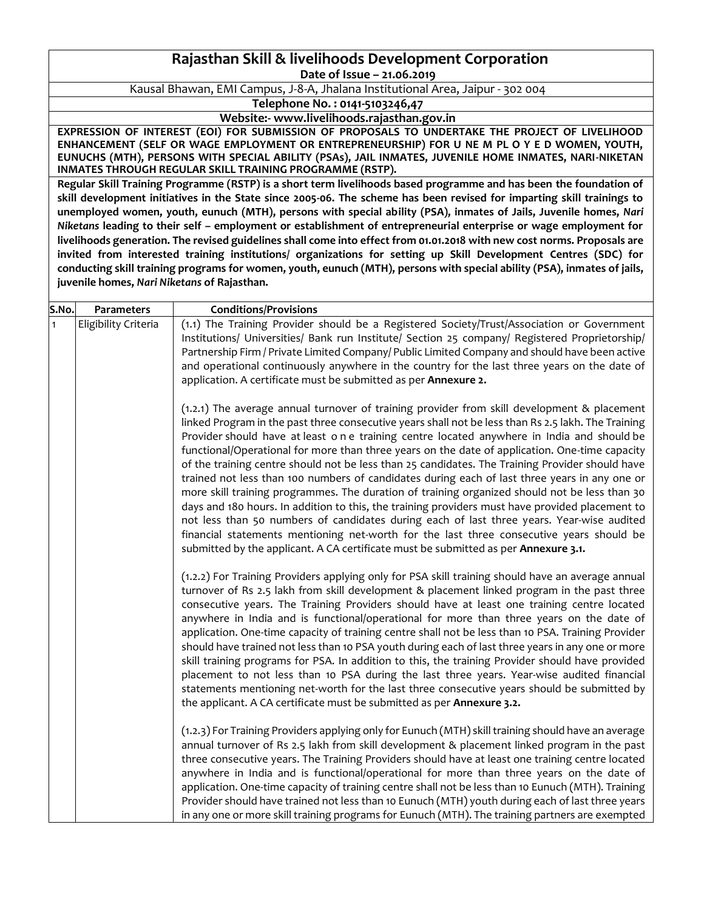# **Rajasthan Skill & livelihoods Development Corporation Date of Issue – 21.06.2019**

Kausal Bhawan, EMI Campus, J-8-A, Jhalana Institutional Area, Jaipur - 302 004

**Telephone No. : 0141-5103246,47**

**Website:- www.livelihoods.rajasthan.gov.in**

**EXPRESSION OF INTEREST (EOI) FOR SUBMISSION OF PROPOSALS TO UNDERTAKE THE PROJECT OF LIVELIHOOD ENHANCEMENT (SELF OR WAGE EMPLOYMENT OR ENTREPRENEURSHIP) FOR U NE M PL O Y E D WOMEN, YOUTH, EUNUCHS (MTH), PERSONS WITH SPECIAL ABILITY (PSAs), JAIL INMATES, JUVENILE HOME INMATES, NARI-NIKETAN INMATES THROUGH REGULAR SKILL TRAINING PROGRAMME (RSTP).**

**Regular Skill Training Programme (RSTP) is a short term livelihoods based programme and has been the foundation of skill development initiatives in the State since 2005-06. The scheme has been revised for imparting skill trainings to unemployed women, youth, eunuch (MTH), persons with special ability (PSA), inmates of Jails, Juvenile homes,** *Nari Niketans* **leading to their self – employment or establishment of entrepreneurial enterprise or wage employment for livelihoods generation. The revised guidelines shall come into effect from 01.01.2018 with new cost norms. Proposals are invited from interested training institutions/ organizations for setting up Skill Development Centres (SDC) for conducting skill training programs for women, youth, eunuch (MTH), persons with special ability (PSA), inmates of jails, juvenile homes,** *Nari Niketans* **of Rajasthan.**

| S.No.        | Parameters           | <b>Conditions/Provisions</b>                                                                                                                                                                                                                                                                                                                                                                                                                                                                                                                                                                                                                                                                                                                                                                                                                                                                                                                                                                                                                                                                |
|--------------|----------------------|---------------------------------------------------------------------------------------------------------------------------------------------------------------------------------------------------------------------------------------------------------------------------------------------------------------------------------------------------------------------------------------------------------------------------------------------------------------------------------------------------------------------------------------------------------------------------------------------------------------------------------------------------------------------------------------------------------------------------------------------------------------------------------------------------------------------------------------------------------------------------------------------------------------------------------------------------------------------------------------------------------------------------------------------------------------------------------------------|
| $\mathbf{1}$ | Eligibility Criteria | (1.1) The Training Provider should be a Registered Society/Trust/Association or Government<br>Institutions/ Universities/ Bank run Institute/ Section 25 company/ Registered Proprietorship/<br>Partnership Firm / Private Limited Company/ Public Limited Company and should have been active<br>and operational continuously anywhere in the country for the last three years on the date of<br>application. A certificate must be submitted as per Annexure 2.                                                                                                                                                                                                                                                                                                                                                                                                                                                                                                                                                                                                                           |
|              |                      | $(1.2.1)$ The average annual turnover of training provider from skill development & placement<br>linked Program in the past three consecutive years shall not be less than Rs 2.5 lakh. The Training<br>Provider should have at least one training centre located anywhere in India and should be<br>functional/Operational for more than three years on the date of application. One-time capacity<br>of the training centre should not be less than 25 candidates. The Training Provider should have<br>trained not less than 100 numbers of candidates during each of last three years in any one or<br>more skill training programmes. The duration of training organized should not be less than 30<br>days and 180 hours. In addition to this, the training providers must have provided placement to<br>not less than 50 numbers of candidates during each of last three years. Year-wise audited<br>financial statements mentioning net-worth for the last three consecutive years should be<br>submitted by the applicant. A CA certificate must be submitted as per Annexure 3.1. |
|              |                      | (1.2.2) For Training Providers applying only for PSA skill training should have an average annual<br>turnover of Rs 2.5 lakh from skill development & placement linked program in the past three<br>consecutive years. The Training Providers should have at least one training centre located<br>anywhere in India and is functional/operational for more than three years on the date of<br>application. One-time capacity of training centre shall not be less than 10 PSA. Training Provider<br>should have trained not less than 10 PSA youth during each of last three years in any one or more<br>skill training programs for PSA. In addition to this, the training Provider should have provided<br>placement to not less than 10 PSA during the last three years. Year-wise audited financial<br>statements mentioning net-worth for the last three consecutive years should be submitted by<br>the applicant. A CA certificate must be submitted as per Annexure 3.2.                                                                                                            |
|              |                      | (1.2.3) For Training Providers applying only for Eunuch (MTH) skill training should have an average<br>annual turnover of Rs 2.5 lakh from skill development & placement linked program in the past<br>three consecutive years. The Training Providers should have at least one training centre located<br>anywhere in India and is functional/operational for more than three years on the date of<br>application. One-time capacity of training centre shall not be less than 10 Eunuch (MTH). Training<br>Provider should have trained not less than 10 Eunuch (MTH) youth during each of last three years<br>in any one or more skill training programs for Eunuch (MTH). The training partners are exempted                                                                                                                                                                                                                                                                                                                                                                            |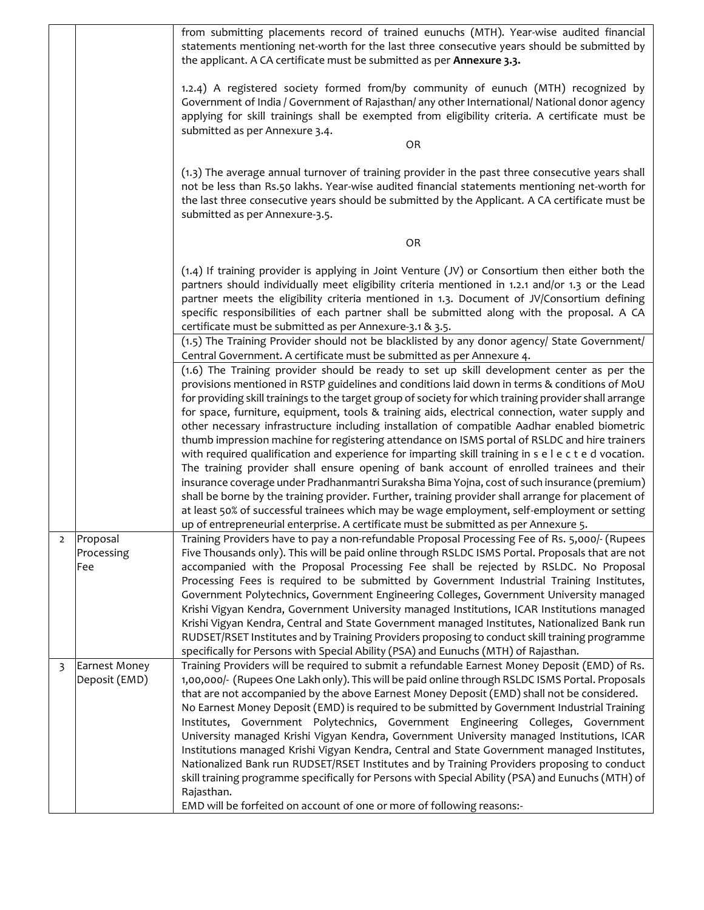|   |                                | from submitting placements record of trained eunuchs (MTH). Year-wise audited financial<br>statements mentioning net-worth for the last three consecutive years should be submitted by<br>the applicant. A CA certificate must be submitted as per <b>Annexure 3.3.</b>                                                                                                                                                                                                                                                                                                                                                                                                                                                                                                                                                                                                                                                                                                                                                                                                                                                                                                                                     |
|---|--------------------------------|-------------------------------------------------------------------------------------------------------------------------------------------------------------------------------------------------------------------------------------------------------------------------------------------------------------------------------------------------------------------------------------------------------------------------------------------------------------------------------------------------------------------------------------------------------------------------------------------------------------------------------------------------------------------------------------------------------------------------------------------------------------------------------------------------------------------------------------------------------------------------------------------------------------------------------------------------------------------------------------------------------------------------------------------------------------------------------------------------------------------------------------------------------------------------------------------------------------|
|   |                                | 1.2.4) A registered society formed from/by community of eunuch (MTH) recognized by<br>Government of India / Government of Rajasthan/ any other International/ National donor agency<br>applying for skill trainings shall be exempted from eligibility criteria. A certificate must be<br>submitted as per Annexure 3.4.<br>OR                                                                                                                                                                                                                                                                                                                                                                                                                                                                                                                                                                                                                                                                                                                                                                                                                                                                              |
|   |                                | (1.3) The average annual turnover of training provider in the past three consecutive years shall<br>not be less than Rs.50 lakhs. Year-wise audited financial statements mentioning net-worth for<br>the last three consecutive years should be submitted by the Applicant. A CA certificate must be<br>submitted as per Annexure-3.5.                                                                                                                                                                                                                                                                                                                                                                                                                                                                                                                                                                                                                                                                                                                                                                                                                                                                      |
|   |                                | OR                                                                                                                                                                                                                                                                                                                                                                                                                                                                                                                                                                                                                                                                                                                                                                                                                                                                                                                                                                                                                                                                                                                                                                                                          |
|   |                                | (1.4) If training provider is applying in Joint Venture (JV) or Consortium then either both the<br>partners should individually meet eligibility criteria mentioned in 1.2.1 and/or 1.3 or the Lead<br>partner meets the eligibility criteria mentioned in 1.3. Document of JV/Consortium defining<br>specific responsibilities of each partner shall be submitted along with the proposal. A CA<br>certificate must be submitted as per Annexure-3.1 & 3.5.                                                                                                                                                                                                                                                                                                                                                                                                                                                                                                                                                                                                                                                                                                                                                |
|   |                                | (1.5) The Training Provider should not be blacklisted by any donor agency/ State Government/<br>Central Government. A certificate must be submitted as per Annexure 4.                                                                                                                                                                                                                                                                                                                                                                                                                                                                                                                                                                                                                                                                                                                                                                                                                                                                                                                                                                                                                                      |
|   |                                | (1.6) The Training provider should be ready to set up skill development center as per the<br>provisions mentioned in RSTP guidelines and conditions laid down in terms & conditions of MoU<br>for providing skill trainings to the target group of society for which training provider shall arrange<br>for space, furniture, equipment, tools & training aids, electrical connection, water supply and<br>other necessary infrastructure including installation of compatible Aadhar enabled biometric<br>thumb impression machine for registering attendance on ISMS portal of RSLDC and hire trainers<br>with required qualification and experience for imparting skill training in s e l e c t e d vocation.<br>The training provider shall ensure opening of bank account of enrolled trainees and their<br>insurance coverage under Pradhanmantri Suraksha Bima Yojna, cost of such insurance (premium)<br>shall be borne by the training provider. Further, training provider shall arrange for placement of<br>at least 50% of successful trainees which may be wage employment, self-employment or setting<br>up of entrepreneurial enterprise. A certificate must be submitted as per Annexure 5. |
|   | Proposal<br>Processing<br>Fee  | Training Providers have to pay a non-refundable Proposal Processing Fee of Rs. 5,000/- (Rupees<br>Five Thousands only). This will be paid online through RSLDC ISMS Portal. Proposals that are not<br>accompanied with the Proposal Processing Fee shall be rejected by RSLDC. No Proposal<br>Processing Fees is required to be submitted by Government Industrial Training Institutes,<br>Government Polytechnics, Government Engineering Colleges, Government University managed<br>Krishi Vigyan Kendra, Government University managed Institutions, ICAR Institutions managed<br>Krishi Vigyan Kendra, Central and State Government managed Institutes, Nationalized Bank run<br>RUDSET/RSET Institutes and by Training Providers proposing to conduct skill training programme<br>specifically for Persons with Special Ability (PSA) and Eunuchs (MTH) of Rajasthan.                                                                                                                                                                                                                                                                                                                                  |
| 3 | Earnest Money<br>Deposit (EMD) | Training Providers will be required to submit a refundable Earnest Money Deposit (EMD) of Rs.<br>1,00,000/- (Rupees One Lakh only). This will be paid online through RSLDC ISMS Portal. Proposals<br>that are not accompanied by the above Earnest Money Deposit (EMD) shall not be considered.<br>No Earnest Money Deposit (EMD) is required to be submitted by Government Industrial Training<br>Institutes, Government Polytechnics, Government Engineering Colleges, Government<br>University managed Krishi Vigyan Kendra, Government University managed Institutions, ICAR<br>Institutions managed Krishi Vigyan Kendra, Central and State Government managed Institutes,<br>Nationalized Bank run RUDSET/RSET Institutes and by Training Providers proposing to conduct<br>skill training programme specifically for Persons with Special Ability (PSA) and Eunuchs (MTH) of<br>Rajasthan.<br>EMD will be forfeited on account of one or more of following reasons:-                                                                                                                                                                                                                                 |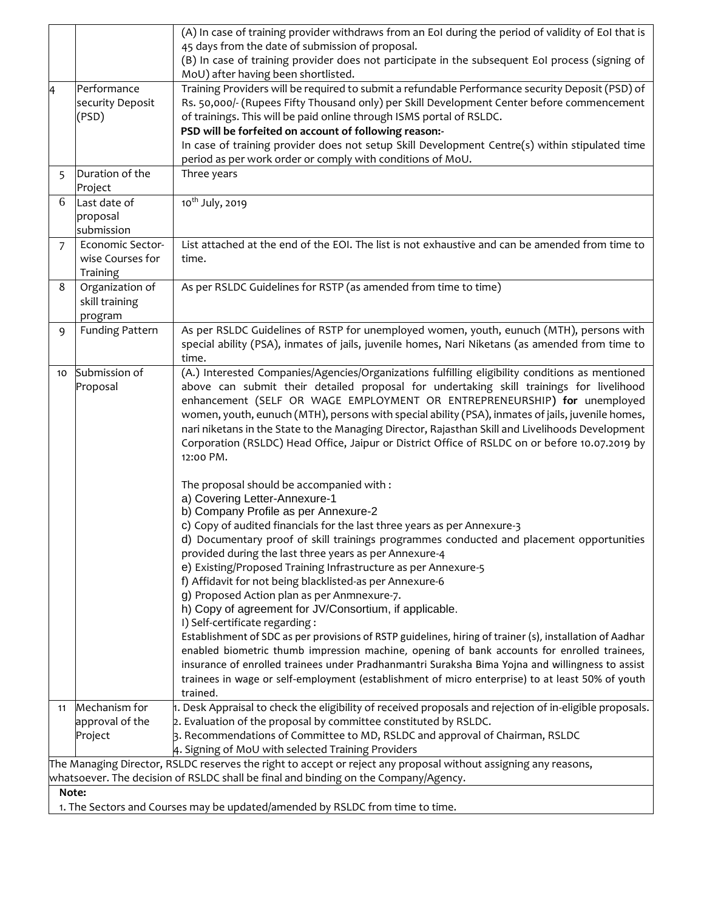|                                                                               |                        | (A) In case of training provider withdraws from an EoI during the period of validity of EoI that is                                     |  |
|-------------------------------------------------------------------------------|------------------------|-----------------------------------------------------------------------------------------------------------------------------------------|--|
|                                                                               |                        | 45 days from the date of submission of proposal.                                                                                        |  |
|                                                                               |                        | (B) In case of training provider does not participate in the subsequent EoI process (signing of                                         |  |
|                                                                               | Performance            | MoU) after having been shortlisted.<br>Training Providers will be required to submit a refundable Performance security Deposit (PSD) of |  |
| A                                                                             | security Deposit       | Rs. 50,000/- (Rupees Fifty Thousand only) per Skill Development Center before commencement                                              |  |
|                                                                               | (PSD)                  | of trainings. This will be paid online through ISMS portal of RSLDC.                                                                    |  |
|                                                                               |                        | PSD will be forfeited on account of following reason:-                                                                                  |  |
|                                                                               |                        | In case of training provider does not setup Skill Development Centre(s) within stipulated time                                          |  |
|                                                                               |                        | period as per work order or comply with conditions of MoU.                                                                              |  |
| 5                                                                             | Duration of the        | Three years                                                                                                                             |  |
|                                                                               | Project                |                                                                                                                                         |  |
| 6                                                                             | Last date of           | 10 <sup>th</sup> July, 2019                                                                                                             |  |
|                                                                               | proposal               |                                                                                                                                         |  |
|                                                                               | submission             |                                                                                                                                         |  |
| $\overline{7}$                                                                | Economic Sector-       | List attached at the end of the EOI. The list is not exhaustive and can be amended from time to                                         |  |
|                                                                               | wise Courses for       | time.                                                                                                                                   |  |
|                                                                               | Training               |                                                                                                                                         |  |
| 8                                                                             | Organization of        | As per RSLDC Guidelines for RSTP (as amended from time to time)                                                                         |  |
|                                                                               | skill training         |                                                                                                                                         |  |
|                                                                               | program                | As per RSLDC Guidelines of RSTP for unemployed women, youth, eunuch (MTH), persons with                                                 |  |
| 9                                                                             | <b>Funding Pattern</b> | special ability (PSA), inmates of jails, juvenile homes, Nari Niketans (as amended from time to                                         |  |
|                                                                               |                        | time.                                                                                                                                   |  |
| 10                                                                            | Submission of          | (A.) Interested Companies/Agencies/Organizations fulfilling eligibility conditions as mentioned                                         |  |
|                                                                               | Proposal               | above can submit their detailed proposal for undertaking skill trainings for livelihood                                                 |  |
|                                                                               |                        | enhancement (SELF OR WAGE EMPLOYMENT OR ENTREPRENEURSHIP) for unemployed                                                                |  |
|                                                                               |                        | women, youth, eunuch (MTH), persons with special ability (PSA), inmates of jails, juvenile homes,                                       |  |
|                                                                               |                        | nari niketans in the State to the Managing Director, Rajasthan Skill and Livelihoods Development                                        |  |
|                                                                               |                        | Corporation (RSLDC) Head Office, Jaipur or District Office of RSLDC on or before 10.07.2019 by                                          |  |
|                                                                               |                        | 12:00 PM.                                                                                                                               |  |
|                                                                               |                        |                                                                                                                                         |  |
|                                                                               |                        | The proposal should be accompanied with:                                                                                                |  |
|                                                                               |                        | a) Covering Letter-Annexure-1<br>b) Company Profile as per Annexure-2                                                                   |  |
|                                                                               |                        | c) Copy of audited financials for the last three years as per Annexure-3                                                                |  |
|                                                                               |                        | d) Documentary proof of skill trainings programmes conducted and placement opportunities                                                |  |
|                                                                               |                        | provided during the last three years as per Annexure-4                                                                                  |  |
|                                                                               |                        | e) Existing/Proposed Training Infrastructure as per Annexure-5                                                                          |  |
|                                                                               |                        | f) Affidavit for not being blacklisted-as per Annexure-6                                                                                |  |
|                                                                               |                        | g) Proposed Action plan as per Anmnexure-7.                                                                                             |  |
|                                                                               |                        | h) Copy of agreement for JV/Consortium, if applicable.                                                                                  |  |
|                                                                               |                        | I) Self-certificate regarding :                                                                                                         |  |
|                                                                               |                        | Establishment of SDC as per provisions of RSTP guidelines, hiring of trainer (s), installation of Aadhar                                |  |
|                                                                               |                        | enabled biometric thumb impression machine, opening of bank accounts for enrolled trainees,                                             |  |
|                                                                               |                        | insurance of enrolled trainees under Pradhanmantri Suraksha Bima Yojna and willingness to assist                                        |  |
|                                                                               |                        | trainees in wage or self-employment (establishment of micro enterprise) to at least 50% of youth<br>trained.                            |  |
| 11                                                                            | Mechanism for          | $\sharp$ . Desk Appraisal to check the eligibility of received proposals and rejection of in-eligible proposals.                        |  |
|                                                                               | approval of the        | 2. Evaluation of the proposal by committee constituted by RSLDC.                                                                        |  |
|                                                                               | Project                | 3. Recommendations of Committee to MD, RSLDC and approval of Chairman, RSLDC                                                            |  |
|                                                                               |                        | 4. Signing of MoU with selected Training Providers                                                                                      |  |
|                                                                               |                        | The Managing Director, RSLDC reserves the right to accept or reject any proposal without assigning any reasons,                         |  |
|                                                                               |                        | whatsoever. The decision of RSLDC shall be final and binding on the Company/Agency.                                                     |  |
| Note:                                                                         |                        |                                                                                                                                         |  |
| 1. The Sectors and Courses may be updated/amended by RSLDC from time to time. |                        |                                                                                                                                         |  |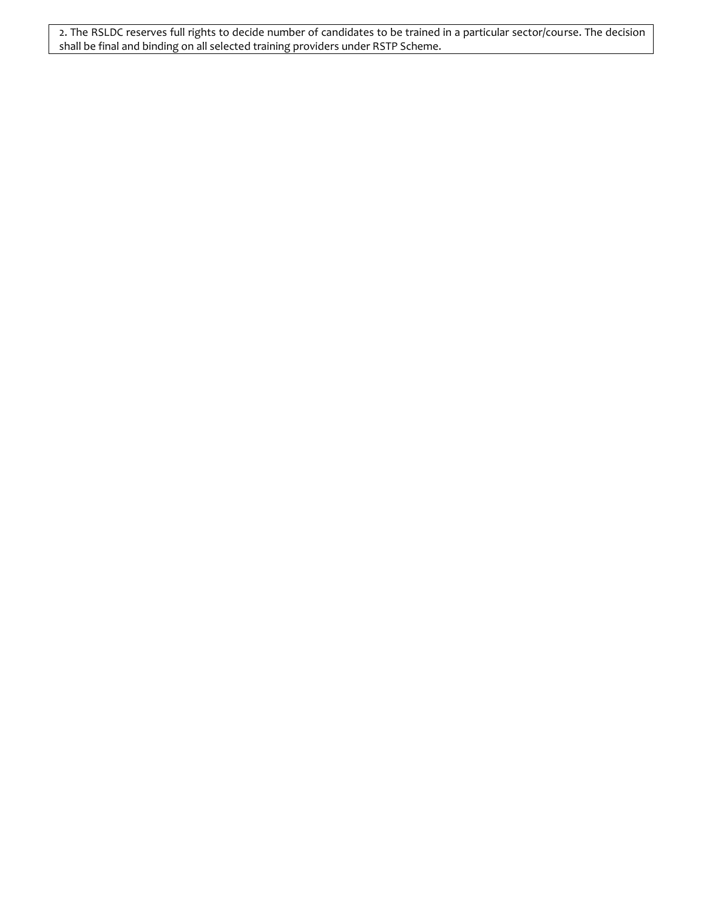2. The RSLDC reserves full rights to decide number of candidates to be trained in a particular sector/course. The decision shall be final and binding on all selected training providers under RSTP Scheme.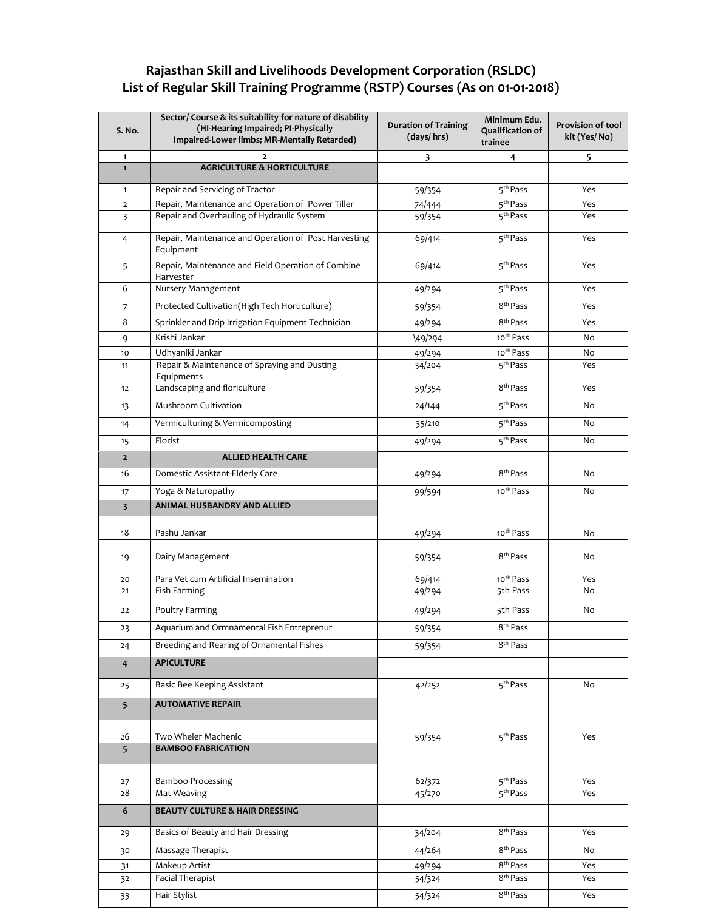# **Rajasthan Skill and Livelihoods Development Corporation (RSLDC) List of Regular Skill Training Programme (RSTP) Courses (As on 01-01-2018)**

| S. No.                  | Sector/ Course & its suitability for nature of disability<br>(HI-Hearing Impaired; PI-Physically<br>Impaired-Lower limbs; MR-Mentally Retarded) | <b>Duration of Training</b><br>(days/hrs) | Minimum Edu.<br><b>Qualification of</b><br>trainee | Provision of tool<br>kit (Yes/No) |
|-------------------------|-------------------------------------------------------------------------------------------------------------------------------------------------|-------------------------------------------|----------------------------------------------------|-----------------------------------|
| $\mathbf{1}$            |                                                                                                                                                 | 3                                         | 4                                                  | 5                                 |
| $\mathbf{1}$            | <b>AGRICULTURE &amp; HORTICULTURE</b>                                                                                                           |                                           |                                                    |                                   |
| $\mathbf{1}$            | Repair and Servicing of Tractor                                                                                                                 | 59/354                                    | 5 <sup>th</sup> Pass                               | Yes                               |
| $\overline{2}$          | Repair, Maintenance and Operation of Power Tiller                                                                                               | 74/444                                    | 5 <sup>th</sup> Pass                               | Yes                               |
| $\overline{3}$          | Repair and Overhauling of Hydraulic System                                                                                                      | 59/354                                    | 5 <sup>th</sup> Pass                               | Yes                               |
| $\overline{4}$          | Repair, Maintenance and Operation of Post Harvesting<br>Equipment                                                                               | 69/414                                    | 5 <sup>th</sup> Pass                               | Yes                               |
| 5                       | Repair, Maintenance and Field Operation of Combine<br>Harvester                                                                                 | 69/414                                    | 5 <sup>th</sup> Pass                               | Yes                               |
| 6                       | Nursery Management                                                                                                                              | 49/294                                    | 5 <sup>th</sup> Pass                               | Yes                               |
| 7                       | Protected Cultivation(High Tech Horticulture)                                                                                                   | 59/354                                    | 8 <sup>th</sup> Pass                               | Yes                               |
| 8                       | Sprinkler and Drip Irrigation Equipment Technician                                                                                              | 49/294                                    | 8 <sup>th</sup> Pass                               | Yes                               |
| 9                       | Krishi Jankar                                                                                                                                   | \49/294                                   | 10 <sup>th</sup> Pass                              | No                                |
| 10                      | Udhyaniki Jankar                                                                                                                                | 49/294                                    | 10 <sup>th</sup> Pass                              | No                                |
| 11                      | Repair & Maintenance of Spraying and Dusting                                                                                                    | 34/204                                    | 5 <sup>th</sup> Pass                               | Yes                               |
|                         | Equipments                                                                                                                                      |                                           |                                                    |                                   |
| 12                      | Landscaping and floriculture                                                                                                                    | 59/354                                    | 8 <sup>th</sup> Pass                               | Yes                               |
| 13                      | Mushroom Cultivation                                                                                                                            | 24/144                                    | 5 <sup>th</sup> Pass                               | No                                |
| 14                      | Vermiculturing & Vermicomposting                                                                                                                | 35/210                                    | 5 <sup>th</sup> Pass                               | No                                |
| 15                      | Florist                                                                                                                                         | 49/294                                    | 5 <sup>th</sup> Pass                               | No                                |
| $\overline{2}$          | <b>ALLIED HEALTH CARE</b>                                                                                                                       |                                           |                                                    |                                   |
| 16                      | Domestic Assistant-Elderly Care                                                                                                                 | 49/294                                    | 8 <sup>th</sup> Pass                               | No                                |
| 17                      | Yoga & Naturopathy                                                                                                                              | 99/594                                    | 10 <sup>th</sup> Pass                              | No                                |
| $\overline{\mathbf{3}}$ | ANIMAL HUSBANDRY AND ALLIED                                                                                                                     |                                           |                                                    |                                   |
| 18                      | Pashu Jankar                                                                                                                                    | 49/294                                    | 10 <sup>th</sup> Pass                              | No                                |
| 19                      | Dairy Management                                                                                                                                | 59/354                                    | 8 <sup>th</sup> Pass                               | No                                |
| 20<br>21                | Para Vet cum Artificial Insemination<br>Fish Farming                                                                                            | 69/414<br>49/294                          | 10 <sup>th</sup> Pass<br>5th Pass                  | Yes<br>No.                        |
| 22                      | Poultry Farming                                                                                                                                 | 49/294                                    | 5th Pass                                           | No                                |
| 23                      | Aquarium and Ormnamental Fish Entreprenur                                                                                                       | 59/354                                    | 8 <sup>th</sup> Pass                               |                                   |
| 24                      | Breeding and Rearing of Ornamental Fishes                                                                                                       | 59/354                                    | 8 <sup>th</sup> Pass                               |                                   |
| 4                       | <b>APICULTURE</b>                                                                                                                               |                                           |                                                    |                                   |
| 25                      | Basic Bee Keeping Assistant                                                                                                                     | 42/252                                    | 5 <sup>th</sup> Pass                               | No                                |
| 5                       | <b>AUTOMATIVE REPAIR</b>                                                                                                                        |                                           |                                                    |                                   |
|                         |                                                                                                                                                 |                                           |                                                    |                                   |
| 26<br>5                 | Two Wheler Machenic<br><b>BAMBOO FABRICATION</b>                                                                                                | 59/354                                    | 5 <sup>th</sup> Pass                               | Yes                               |
|                         |                                                                                                                                                 |                                           |                                                    |                                   |
| 27                      | <b>Bamboo Processing</b>                                                                                                                        | 62/372                                    | 5 <sup>th</sup> Pass                               | Yes                               |
| 28                      | Mat Weaving                                                                                                                                     | 45/270                                    | 5 <sup>th</sup> Pass                               | Yes                               |
| 6                       | BEAUTY CULTURE & HAIR DRESSING                                                                                                                  |                                           |                                                    |                                   |
| 29                      | Basics of Beauty and Hair Dressing                                                                                                              | 34/204                                    | 8 <sup>th</sup> Pass                               | Yes                               |
| 30                      | Massage Therapist                                                                                                                               | 44/264                                    | 8 <sup>th</sup> Pass                               | No                                |
| 31                      | Makeup Artist                                                                                                                                   | 49/294                                    | 8 <sup>th</sup> Pass                               | Yes                               |
| 32                      | Facial Therapist                                                                                                                                | 54/324                                    | 8 <sup>th</sup> Pass                               | Yes                               |
| 33                      | Hair Stylist                                                                                                                                    | 54/324                                    | 8 <sup>th</sup> Pass                               | Yes                               |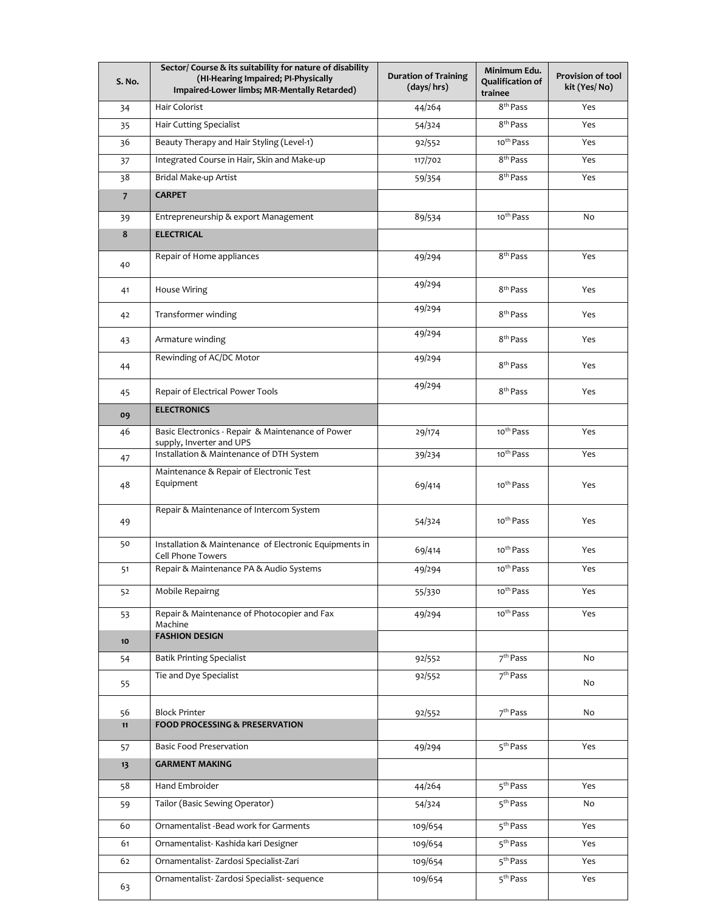| S. No.         | Sector/ Course & its suitability for nature of disability<br>(HI-Hearing Impaired; PI-Physically<br>Impaired-Lower limbs; MR-Mentally Retarded) | <b>Duration of Training</b><br>(days/hrs) | Minimum Edu.<br><b>Qualification of</b><br>trainee | Provision of tool<br>kit (Yes/No) |
|----------------|-------------------------------------------------------------------------------------------------------------------------------------------------|-------------------------------------------|----------------------------------------------------|-----------------------------------|
| 34             | Hair Colorist                                                                                                                                   | 44/264                                    | 8 <sup>th</sup> Pass                               | Yes                               |
| 35             | <b>Hair Cutting Specialist</b>                                                                                                                  | 54/324                                    | 8 <sup>th</sup> Pass                               | Yes                               |
| 36             | Beauty Therapy and Hair Styling (Level-1)                                                                                                       | 92/552                                    | 10 <sup>th</sup> Pass                              | Yes                               |
| 37             | Integrated Course in Hair, Skin and Make-up                                                                                                     | 117/702                                   | 8 <sup>th</sup> Pass                               | Yes                               |
| 38             | Bridal Make-up Artist                                                                                                                           | 59/354                                    | 8 <sup>th</sup> Pass                               | Yes                               |
| $\overline{7}$ | <b>CARPET</b>                                                                                                                                   |                                           |                                                    |                                   |
| 39             | Entrepreneurship & export Management                                                                                                            | 89/534                                    | 10 <sup>th</sup> Pass                              | No                                |
| 8              | <b>ELECTRICAL</b>                                                                                                                               |                                           |                                                    |                                   |
| 40             | Repair of Home appliances                                                                                                                       | 49/294                                    | 8 <sup>th</sup> Pass                               | Yes                               |
| 41             | <b>House Wiring</b>                                                                                                                             | 49/294                                    | 8 <sup>th</sup> Pass                               | Yes                               |
| 42             | Transformer winding                                                                                                                             | 49/294                                    | 8 <sup>th</sup> Pass                               | Yes                               |
| 43             | Armature winding                                                                                                                                | 49/294                                    | 8 <sup>th</sup> Pass                               | Yes                               |
| 44             | Rewinding of AC/DC Motor                                                                                                                        | 49/294                                    | 8 <sup>th</sup> Pass                               | Yes                               |
| 45             | Repair of Electrical Power Tools                                                                                                                | 49/294                                    | 8 <sup>th</sup> Pass                               | Yes                               |
| 09             | <b>ELECTRONICS</b>                                                                                                                              |                                           |                                                    |                                   |
| 46             | Basic Electronics - Repair & Maintenance of Power<br>supply, Inverter and UPS                                                                   | 29/174                                    | 10 <sup>th</sup> Pass                              | Yes                               |
| 47             | Installation & Maintenance of DTH System                                                                                                        | 39/234                                    | 10 <sup>th</sup> Pass                              | Yes                               |
| 48             | Maintenance & Repair of Electronic Test<br>Equipment                                                                                            | 69/414                                    | 10 <sup>th</sup> Pass                              | Yes                               |
| 49             | Repair & Maintenance of Intercom System                                                                                                         | 54/324                                    | 10 <sup>th</sup> Pass                              | Yes                               |
| 50             | Installation & Maintenance of Electronic Equipments in<br>Cell Phone Towers                                                                     | 69/414                                    | 10 <sup>th</sup> Pass                              | Yes                               |
| 51             | Repair & Maintenance PA & Audio Systems                                                                                                         | 49/294                                    | 10 <sup>th</sup> Pass                              | Yes                               |
| 52             | Mobile Repairng                                                                                                                                 | 55/330                                    | 10 <sup>th</sup> Pass                              | Yes                               |
| 53             | Repair & Maintenance of Photocopier and Fax<br>Machine                                                                                          | 49/294                                    | 10 <sup>th</sup> Pass                              | Yes                               |
| 10             | <b>FASHION DESIGN</b>                                                                                                                           |                                           |                                                    |                                   |
| 54             | <b>Batik Printing Specialist</b>                                                                                                                | 92/552                                    | 7 <sup>th</sup> Pass                               | No                                |
| 55             | Tie and Dye Specialist                                                                                                                          | 92/552                                    | 7 <sup>th</sup> Pass                               | No                                |
| 56             | <b>Block Printer</b>                                                                                                                            | 92/552                                    | 7 <sup>th</sup> Pass                               | No                                |
| 11             | <b>FOOD PROCESSING &amp; PRESERVATION</b>                                                                                                       |                                           |                                                    |                                   |
| 57             | <b>Basic Food Preservation</b>                                                                                                                  | 49/294                                    | 5 <sup>th</sup> Pass                               | Yes                               |
| 13             | <b>GARMENT MAKING</b>                                                                                                                           |                                           |                                                    |                                   |
| 58             | Hand Embroider                                                                                                                                  | 44/264                                    | 5 <sup>th</sup> Pass                               | Yes                               |
| 59             | Tailor (Basic Sewing Operator)                                                                                                                  | 54/324                                    | 5 <sup>th</sup> Pass                               | No                                |
| 60             | Ornamentalist -Bead work for Garments                                                                                                           | 109/654                                   | 5 <sup>th</sup> Pass                               | Yes                               |
| 61             | Ornamentalist- Kashida kari Designer                                                                                                            | 109/654                                   | 5 <sup>th</sup> Pass                               | Yes                               |
| 62             | Ornamentalist-Zardosi Specialist-Zari                                                                                                           | 109/654                                   | 5 <sup>th</sup> Pass                               | Yes                               |
| 63             | Ornamentalist-Zardosi Specialist- sequence                                                                                                      | 109/654                                   | 5 <sup>th</sup> Pass                               | Yes                               |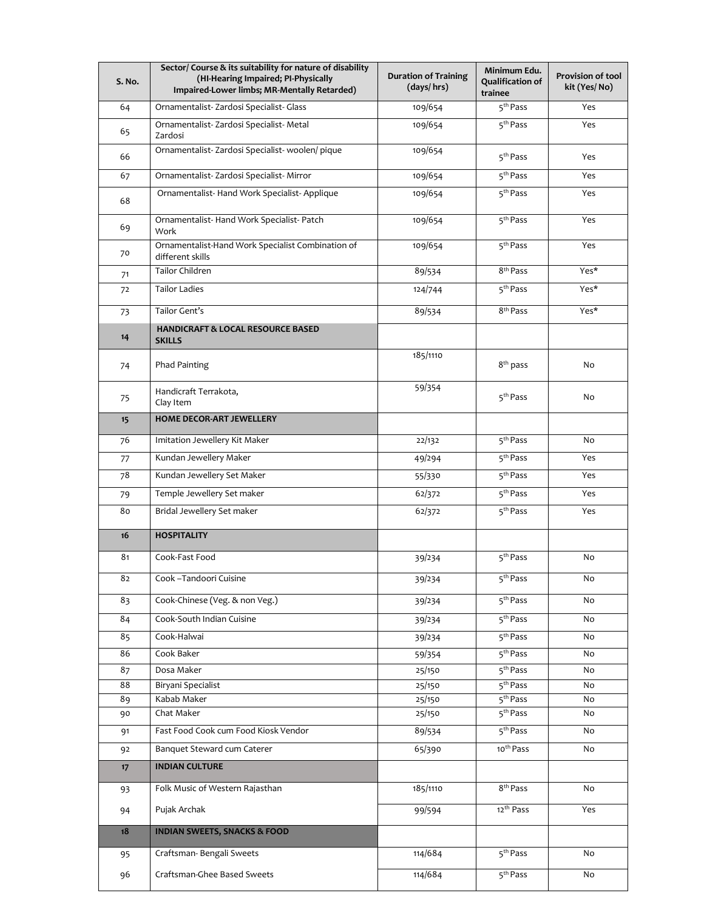| S. No.   | Sector/ Course & its suitability for nature of disability<br>(HI-Hearing Impaired; PI-Physically<br>Impaired-Lower limbs; MR-Mentally Retarded) | <b>Duration of Training</b><br>(days/hrs) | Minimum Edu.<br><b>Qualification of</b><br>trainee | Provision of tool<br>kit (Yes/No) |
|----------|-------------------------------------------------------------------------------------------------------------------------------------------------|-------------------------------------------|----------------------------------------------------|-----------------------------------|
| 64       | Ornamentalist-Zardosi Specialist- Glass                                                                                                         | 109/654                                   | 5 <sup>th</sup> Pass                               | Yes                               |
| 65       | Ornamentalist-Zardosi Specialist-Metal<br>Zardosi                                                                                               | 109/654                                   | 5 <sup>th</sup> Pass                               | Yes                               |
| 66       | Ornamentalist-Zardosi Specialist- woolen/ pique                                                                                                 | 109/654                                   | 5 <sup>th</sup> Pass                               | Yes                               |
| 67       | Ornamentalist-Zardosi Specialist-Mirror                                                                                                         | 109/654                                   | 5 <sup>th</sup> Pass                               | Yes                               |
| 68       | Ornamentalist-Hand Work Specialist-Applique                                                                                                     | 109/654                                   | 5 <sup>th</sup> Pass                               | Yes                               |
| 69       | Ornamentalist-Hand Work Specialist-Patch<br>Work                                                                                                | 109/654                                   | 5 <sup>th</sup> Pass                               | Yes                               |
| 70       | Ornamentalist-Hand Work Specialist Combination of<br>different skills                                                                           | 109/654                                   | 5 <sup>th</sup> Pass                               | Yes                               |
| 71       | <b>Tailor Children</b>                                                                                                                          | 89/534                                    | 8 <sup>th</sup> Pass                               | Yes*                              |
| 72       | <b>Tailor Ladies</b>                                                                                                                            | 124/744                                   | 5 <sup>th</sup> Pass                               | Yes*                              |
| 73       | Tailor Gent's                                                                                                                                   | 89/534                                    | 8 <sup>th</sup> Pass                               | Yes*                              |
| 14       | <b>HANDICRAFT &amp; LOCAL RESOURCE BASED</b><br><b>SKILLS</b>                                                                                   |                                           |                                                    |                                   |
| 74       | Phad Painting                                                                                                                                   | 185/1110                                  | $8^{\text{th}}$ pass                               | No                                |
| 75       | Handicraft Terrakota,<br>Clay Item                                                                                                              | 59/354                                    | 5 <sup>th</sup> Pass                               | No                                |
| 15       | <b>HOME DECOR-ART JEWELLERY</b>                                                                                                                 |                                           |                                                    |                                   |
| 76       | Imitation Jewellery Kit Maker                                                                                                                   | 22/132                                    | 5 <sup>th</sup> Pass                               | No                                |
| 77       | Kundan Jewellery Maker                                                                                                                          | 49/294                                    | 5 <sup>th</sup> Pass                               | Yes                               |
| 78       | Kundan Jewellery Set Maker                                                                                                                      | 55/330                                    | $\overline{5^{th}}$ Pass                           | Yes                               |
| 79       | Temple Jewellery Set maker                                                                                                                      | 62/372                                    | 5 <sup>th</sup> Pass                               | Yes                               |
| 80       | Bridal Jewellery Set maker                                                                                                                      | 62/372                                    | 5 <sup>th</sup> Pass                               | Yes                               |
| 16       | <b>HOSPITALITY</b>                                                                                                                              |                                           |                                                    |                                   |
| 81       | Cook-Fast Food                                                                                                                                  | 39/234                                    | 5 <sup>th</sup> Pass                               | No                                |
| 82       | Cook - Tandoori Cuisine                                                                                                                         | 39/234                                    | 5 <sup>th</sup> Pass                               | No                                |
| 83       | Cook-Chinese (Veg. & non Veg.)                                                                                                                  | 39/234                                    | 5 <sup>th</sup> Pass                               | No                                |
| 84       | Cook-South Indian Cuisine                                                                                                                       | 39/234                                    | 5 <sup>th</sup> Pass                               | No                                |
| 85       | Cook-Halwai                                                                                                                                     | 39/234                                    | 5 <sup>th</sup> Pass                               | No                                |
| 86       | Cook Baker                                                                                                                                      | 59/354                                    | 5 <sup>th</sup> Pass                               | No                                |
| 87       | Dosa Maker                                                                                                                                      | 25/150                                    | 5 <sup>th</sup> Pass                               | No                                |
| 88       | Biryani Specialist                                                                                                                              | 25/150                                    | 5 <sup>th</sup> Pass                               | No                                |
| 89       | Kabab Maker                                                                                                                                     | 25/150                                    | 5 <sup>th</sup> Pass                               | No                                |
| 90       | Chat Maker                                                                                                                                      | 25/150                                    | 5 <sup>th</sup> Pass                               | No                                |
| 91<br>92 | Fast Food Cook cum Food Kiosk Vendor<br>Banquet Steward cum Caterer                                                                             | 89/534<br>65/390                          | 5 <sup>th</sup> Pass<br>10 <sup>th</sup> Pass      | No<br>No                          |
|          |                                                                                                                                                 |                                           |                                                    |                                   |
| 17       | <b>INDIAN CULTURE</b>                                                                                                                           |                                           |                                                    |                                   |
| 93       | Folk Music of Western Rajasthan                                                                                                                 | 185/1110                                  | 8 <sup>th</sup> Pass                               | No                                |
| 94       | Pujak Archak                                                                                                                                    | 99/594                                    | 12 <sup>th</sup> Pass                              | Yes                               |
| 18       | <b>INDIAN SWEETS, SNACKS &amp; FOOD</b>                                                                                                         |                                           |                                                    |                                   |
| 95       | Craftsman-Bengali Sweets                                                                                                                        | 114/684                                   | 5 <sup>th</sup> Pass                               | No                                |
| 96       | Craftsman-Ghee Based Sweets                                                                                                                     | 114/684                                   | $\overline{5}^{\text{th}}$ Pass                    | No                                |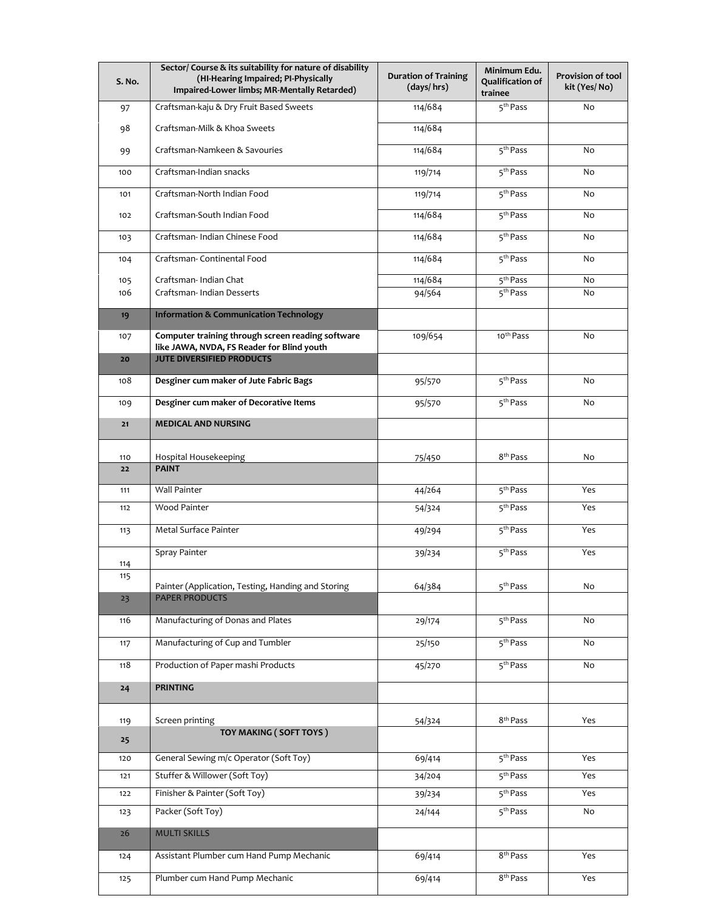| S. No. | Sector/ Course & its suitability for nature of disability<br>(HI-Hearing Impaired; PI-Physically<br>Impaired-Lower limbs; MR-Mentally Retarded) | <b>Duration of Training</b><br>(days/hrs) | Minimum Edu.<br>Qualification of<br>trainee | Provision of tool<br>kit (Yes/No) |
|--------|-------------------------------------------------------------------------------------------------------------------------------------------------|-------------------------------------------|---------------------------------------------|-----------------------------------|
| 97     | Craftsman-kaju & Dry Fruit Based Sweets                                                                                                         | 114/684                                   | 5 <sup>th</sup> Pass                        | No                                |
| 98     | Craftsman-Milk & Khoa Sweets                                                                                                                    | 114/684                                   |                                             |                                   |
| 99     | Craftsman-Namkeen & Savouries                                                                                                                   | 114/684                                   | 5 <sup>th</sup> Pass                        | N <sub>o</sub>                    |
| 100    | Craftsman-Indian snacks                                                                                                                         | 119/714                                   | 5 <sup>th</sup> Pass                        | No                                |
| 101    | Craftsman-North Indian Food                                                                                                                     | 119/714                                   | 5 <sup>th</sup> Pass                        | No                                |
| 102    | Craftsman-South Indian Food                                                                                                                     | 114/684                                   | 5 <sup>th</sup> Pass                        | No                                |
| 103    | Craftsman- Indian Chinese Food                                                                                                                  | 114/684                                   | 5 <sup>th</sup> Pass                        | No                                |
| 104    | Craftsman-Continental Food                                                                                                                      | 114/684                                   | 5 <sup>th</sup> Pass                        | No                                |
| 105    | Craftsman- Indian Chat                                                                                                                          | 114/684                                   | 5 <sup>th</sup> Pass                        | No                                |
| 106    | Craftsman- Indian Desserts                                                                                                                      | 94/564                                    | 5 <sup>th</sup> Pass                        | No                                |
| 19     | <b>Information &amp; Communication Technology</b>                                                                                               |                                           |                                             |                                   |
| 107    | Computer training through screen reading software<br>like JAWA, NVDA, FS Reader for Blind youth                                                 | 109/654                                   | 10 <sup>th</sup> Pass                       | No                                |
| 20     | <b>JUTE DIVERSIFIED PRODUCTS</b>                                                                                                                |                                           |                                             |                                   |
| 108    | Desginer cum maker of Jute Fabric Bags                                                                                                          | 95/570                                    | 5 <sup>th</sup> Pass                        | No                                |
| 109    | Desginer cum maker of Decorative Items                                                                                                          | 95/570                                    | 5 <sup>th</sup> Pass                        | No                                |
| 21     | <b>MEDICAL AND NURSING</b>                                                                                                                      |                                           |                                             |                                   |
| 110    | Hospital Housekeeping                                                                                                                           | 75/450                                    | 8 <sup>th</sup> Pass                        | No                                |
| 22     | <b>PAINT</b>                                                                                                                                    |                                           |                                             |                                   |
| 111    | <b>Wall Painter</b>                                                                                                                             | 44/264                                    | 5 <sup>th</sup> Pass                        | Yes                               |
| 112    | <b>Wood Painter</b>                                                                                                                             | 54/324                                    | 5 <sup>th</sup> Pass                        | Yes                               |
| 113    | Metal Surface Painter                                                                                                                           | 49/294                                    | 5 <sup>th</sup> Pass                        | Yes                               |
| 114    | Spray Painter                                                                                                                                   | 39/234                                    | 5 <sup>th</sup> Pass                        | Yes                               |
| 115    |                                                                                                                                                 |                                           |                                             |                                   |
| 23     | Painter (Application, Testing, Handing and Storing<br><b>PAPER PRODUCTS</b>                                                                     | 64/384                                    | 5 <sup>th</sup> Pass                        | No                                |
| 116    | Manufacturing of Donas and Plates                                                                                                               | 29/174                                    | 5 <sup>th</sup> Pass                        | No                                |
| 117    | Manufacturing of Cup and Tumbler                                                                                                                | 25/150                                    | 5 <sup>th</sup> Pass                        | No                                |
| 118    | Production of Paper mashi Products                                                                                                              | 45/270                                    | 5 <sup>th</sup> Pass                        | No                                |
| 24     | <b>PRINTING</b>                                                                                                                                 |                                           |                                             |                                   |
| 119    | Screen printing                                                                                                                                 | 54/324                                    | 8 <sup>th</sup> Pass                        | Yes                               |
| 25     | TOY MAKING (SOFT TOYS)                                                                                                                          |                                           |                                             |                                   |
| 120    | General Sewing m/c Operator (Soft Toy)                                                                                                          | 69/414                                    | 5 <sup>th</sup> Pass                        | Yes                               |
| 121    | Stuffer & Willower (Soft Toy)                                                                                                                   | 34/204                                    | 5 <sup>th</sup> Pass                        | Yes                               |
| 122    | Finisher & Painter (Soft Toy)                                                                                                                   | 39/234                                    | 5 <sup>th</sup> Pass                        | Yes                               |
| 123    | Packer (Soft Toy)                                                                                                                               | 24/144                                    | $\overline{5^{th}}$ Pass                    | No                                |
| 26     | <b>MULTI SKILLS</b>                                                                                                                             |                                           |                                             |                                   |
| 124    | Assistant Plumber cum Hand Pump Mechanic                                                                                                        | 69/414                                    | 8 <sup>th</sup> Pass                        | Yes                               |
| 125    | Plumber cum Hand Pump Mechanic                                                                                                                  | 69/414                                    | 8 <sup>th</sup> Pass                        | Yes                               |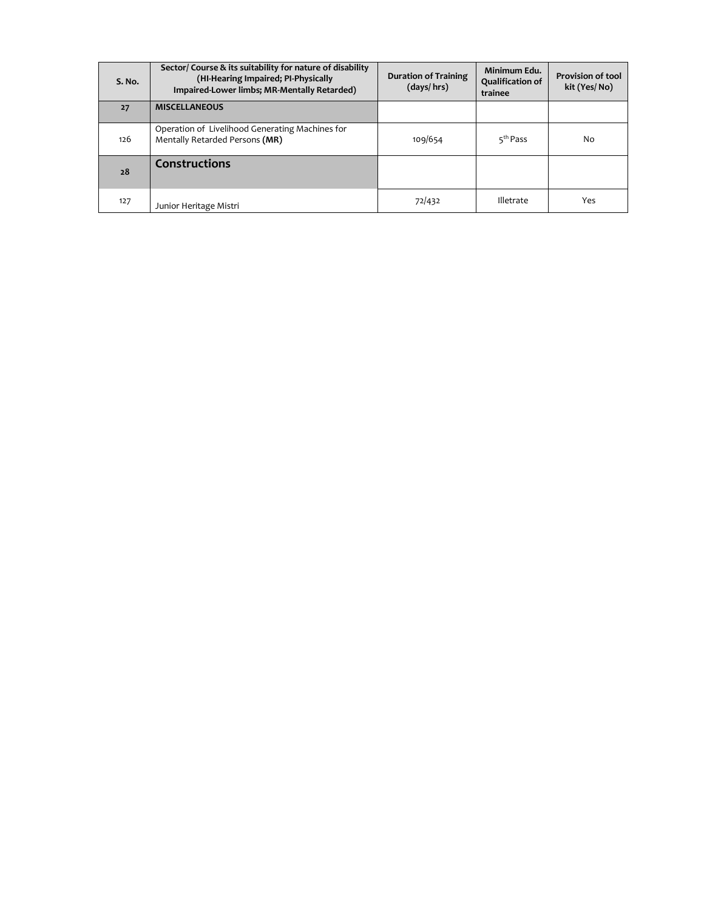| S. No. | Sector/ Course & its suitability for nature of disability<br>(HI-Hearing Impaired; PI-Physically<br>Impaired-Lower limbs; MR-Mentally Retarded) | <b>Duration of Training</b><br>(days/hrs) | Minimum Edu.<br>Qualification of<br>trainee | <b>Provision of tool</b><br>kit (Yes/No) |
|--------|-------------------------------------------------------------------------------------------------------------------------------------------------|-------------------------------------------|---------------------------------------------|------------------------------------------|
| 27     | <b>MISCELLANEOUS</b>                                                                                                                            |                                           |                                             |                                          |
| 126    | Operation of Livelihood Generating Machines for<br>Mentally Retarded Persons (MR)                                                               | 109/654                                   | 5 <sup>th</sup> Pass                        | No                                       |
| 28     | <b>Constructions</b>                                                                                                                            |                                           |                                             |                                          |
| 127    | Junior Heritage Mistri                                                                                                                          | 72/432                                    | Illetrate                                   | Yes                                      |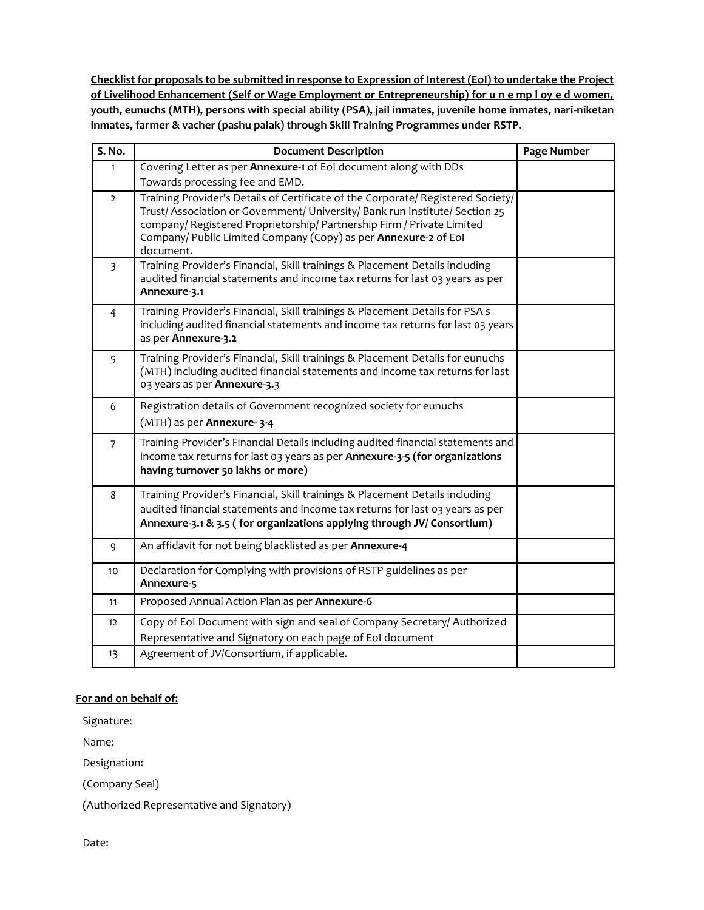**Checklist for proposals to be submitted in response to Expression of Interest (EoI) to undertake the Project of Livelihood Enhancement (Self or Wage Employment or Entrepreneurship) for u n e mp l oy e d women, youth, eunuchs (MTH), persons with special ability (PSA), jail inmates, juvenile home inmates, nari-niketan inmates, farmer & vacher (pashu palak) through Skill Training Programmes under RSTP.**

| S. No.         | <b>Document Description</b>                                                                                                                                                                                                                                                                                                | Page Number |
|----------------|----------------------------------------------------------------------------------------------------------------------------------------------------------------------------------------------------------------------------------------------------------------------------------------------------------------------------|-------------|
| $\mathbf{1}$   | Covering Letter as per Annexure-1 of EoI document along with DDs<br>Towards processing fee and EMD.                                                                                                                                                                                                                        |             |
| $\overline{2}$ | Training Provider's Details of Certificate of the Corporate/ Registered Society/<br>Trust/ Association or Government/ University/ Bank run Institute/ Section 25<br>company/ Registered Proprietorship/ Partnership Firm / Private Limited<br>Company/ Public Limited Company (Copy) as per Annexure-2 of Eol<br>document. |             |
| $\overline{3}$ | Training Provider's Financial, Skill trainings & Placement Details including<br>audited financial statements and income tax returns for last 03 years as per<br>Annexure-3.1                                                                                                                                               |             |
| $\overline{4}$ | Training Provider's Financial, Skill trainings & Placement Details for PSA s<br>including audited financial statements and income tax returns for last 03 years<br>as per Annexure-3.2                                                                                                                                     |             |
| 5              | Training Provider's Financial, Skill trainings & Placement Details for eunuchs<br>(MTH) including audited financial statements and income tax returns for last<br>03 years as per Annexure-3.3                                                                                                                             |             |
| 6              | Registration details of Government recognized society for eunuchs<br>(MTH) as per Annexure-3-4                                                                                                                                                                                                                             |             |
| $\overline{7}$ | Training Provider's Financial Details including audited financial statements and<br>income tax returns for last 03 years as per Annexure-3-5 (for organizations<br>having turnover 50 lakhs or more)                                                                                                                       |             |
| 8              | Training Provider's Financial, Skill trainings & Placement Details including<br>audited financial statements and income tax returns for last 03 years as per<br>Annexure-3.1 & 3.5 (for organizations applying through JV/ Consortium)                                                                                     |             |
| 9              | An affidavit for not being blacklisted as per Annexure-4                                                                                                                                                                                                                                                                   |             |
| 10             | Declaration for Complying with provisions of RSTP guidelines as per<br>Annexure-5                                                                                                                                                                                                                                          |             |
| 11             | Proposed Annual Action Plan as per Annexure-6                                                                                                                                                                                                                                                                              |             |
| 12             | Copy of EoI Document with sign and seal of Company Secretary/ Authorized<br>Representative and Signatory on each page of EoI document                                                                                                                                                                                      |             |
| 13             | Agreement of JV/Consortium, if applicable.                                                                                                                                                                                                                                                                                 |             |

## **For and on behalf of:**

Signature:

Name:

Designation:

(Company Seal)

(Authorized Representative and Signatory)

Date: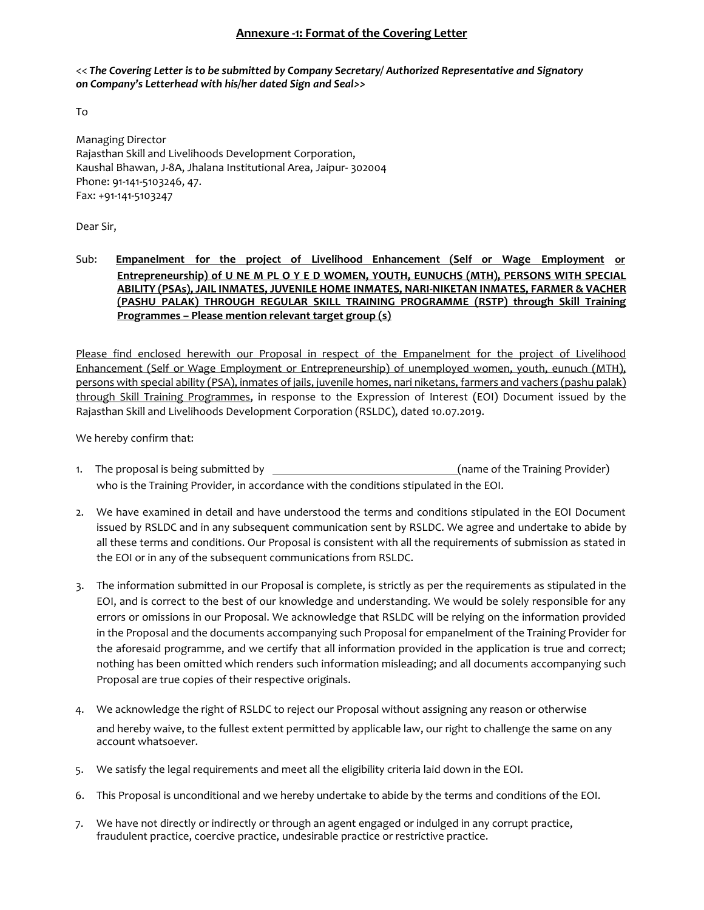#### **Annexure -1: Format of the Covering Letter**

<< *The Covering Letter is to be submitted by Company Secretary/ Authorized Representative and Signatory on Company's Letterhead with his/her dated Sign and Seal>>*

To

Managing Director Rajasthan Skill and Livelihoods Development Corporation, Kaushal Bhawan, J-8A, Jhalana Institutional Area, Jaipur- 302004 Phone: 91-141-5103246, 47. Fax: +91-141-5103247

Dear Sir,

#### Sub: **Empanelment for the project of Livelihood Enhancement (Self or Wage Employment or Entrepreneurship) of U NE M PL O Y E D WOMEN, YOUTH, EUNUCHS (MTH), PERSONS WITH SPECIAL ABILITY (PSAs), JAIL INMATES, JUVENILE HOME INMATES, NARI-NIKETAN INMATES, FARMER & VACHER (PASHU PALAK) THROUGH REGULAR SKILL TRAINING PROGRAMME (RSTP) through Skill Training Programmes – Please mention relevant target group (s)**

Please find enclosed herewith our Proposal in respect of the Empanelment for the project of Livelihood Enhancement (Self or Wage Employment or Entrepreneurship) of unemployed women, youth, eunuch (MTH), persons with special ability (PSA), inmates of jails, juvenile homes, nari niketans, farmers and vachers (pashu palak) through Skill Training Programmes, in response to the Expression of Interest (EOI) Document issued by the Rajasthan Skill and Livelihoods Development Corporation (RSLDC), dated 10.07.2019.

We hereby confirm that:

- 1. The proposal is being submitted by  $\qquad \qquad$  (name of the Training Provider) who is the Training Provider, in accordance with the conditions stipulated in the EOI.
- 2. We have examined in detail and have understood the terms and conditions stipulated in the EOI Document issued by RSLDC and in any subsequent communication sent by RSLDC. We agree and undertake to abide by all these terms and conditions. Our Proposal is consistent with all the requirements of submission as stated in the EOI or in any of the subsequent communications from RSLDC.
- 3. The information submitted in our Proposal is complete, is strictly as per the requirements as stipulated in the EOI, and is correct to the best of our knowledge and understanding. We would be solely responsible for any errors or omissions in our Proposal. We acknowledge that RSLDC will be relying on the information provided in the Proposal and the documents accompanying such Proposal for empanelment of the Training Provider for the aforesaid programme, and we certify that all information provided in the application is true and correct; nothing has been omitted which renders such information misleading; and all documents accompanying such Proposal are true copies of their respective originals.
- 4. We acknowledge the right of RSLDC to reject our Proposal without assigning any reason or otherwise and hereby waive, to the fullest extent permitted by applicable law, our right to challenge the same on any account whatsoever.
- 5. We satisfy the legal requirements and meet all the eligibility criteria laid down in the EOI.
- 6. This Proposal is unconditional and we hereby undertake to abide by the terms and conditions of the EOI.
- 7. We have not directly or indirectly or through an agent engaged or indulged in any corrupt practice, fraudulent practice, coercive practice, undesirable practice or restrictive practice.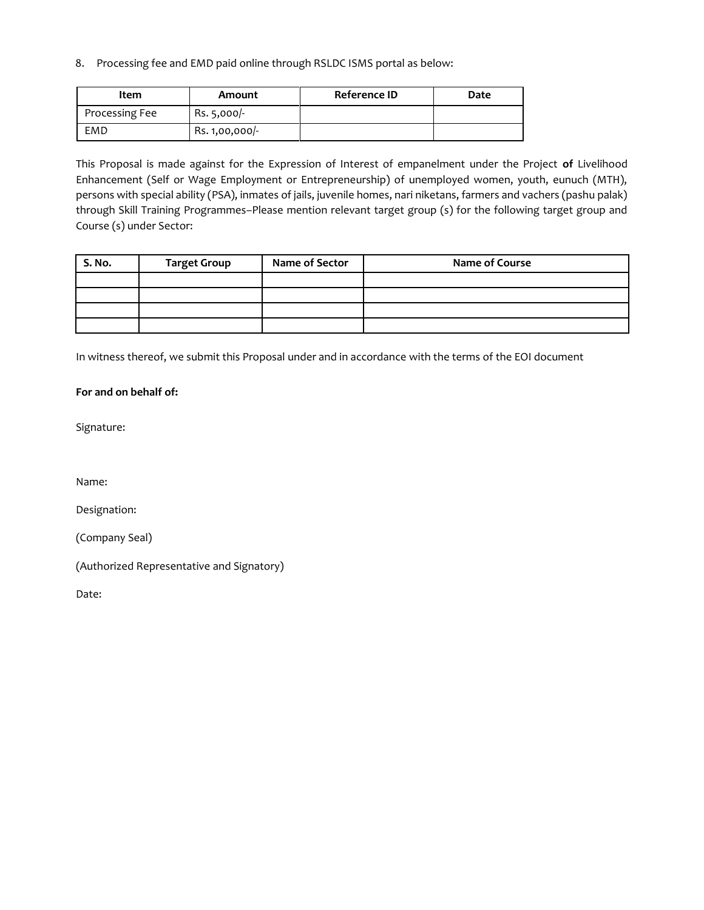8. Processing fee and EMD paid online through RSLDC ISMS portal as below:

| Item           | Amount         | Reference ID | Date |
|----------------|----------------|--------------|------|
| Processing Fee | Rs. 5,000/-    |              |      |
| EMD            | Rs. 1,00,000/- |              |      |

This Proposal is made against for the Expression of Interest of empanelment under the Project **of** Livelihood Enhancement (Self or Wage Employment or Entrepreneurship) of unemployed women, youth, eunuch (MTH), persons with special ability (PSA), inmates of jails, juvenile homes, nari niketans, farmers and vachers (pashu palak) through Skill Training Programmes–Please mention relevant target group (s) for the following target group and Course (s) under Sector:

| S. No. | <b>Target Group</b> | Name of Sector | Name of Course |
|--------|---------------------|----------------|----------------|
|        |                     |                |                |
|        |                     |                |                |
|        |                     |                |                |
|        |                     |                |                |

In witness thereof, we submit this Proposal under and in accordance with the terms of the EOI document

#### **For and on behalf of:**

Signature:

Name:

Designation:

(Company Seal)

(Authorized Representative and Signatory)

Date: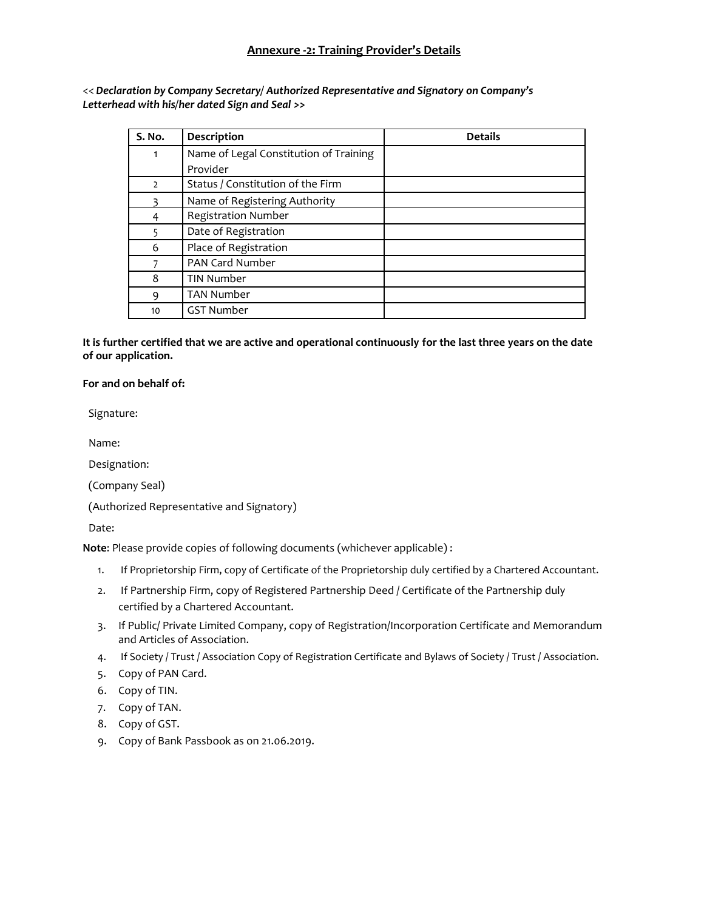<< *Declaration by Company Secretary/ Authorized Representative and Signatory on Company's Letterhead with his/her dated Sign and Seal >>*

| S. No.         | Description                            | <b>Details</b> |
|----------------|----------------------------------------|----------------|
| 1              | Name of Legal Constitution of Training |                |
|                | Provider                               |                |
| $\overline{2}$ | Status / Constitution of the Firm      |                |
| ξ              | Name of Registering Authority          |                |
| 4              | <b>Registration Number</b>             |                |
| 5              | Date of Registration                   |                |
| 6              | Place of Registration                  |                |
|                | PAN Card Number                        |                |
| 8              | <b>TIN Number</b>                      |                |
| 9              | <b>TAN Number</b>                      |                |
| 10             | <b>GST Number</b>                      |                |

**It is further certified that we are active and operational continuously for the last three years on the date of our application.**

#### **For and on behalf of:**

Signature:

Name:

Designation:

(Company Seal)

(Authorized Representative and Signatory)

Date:

**Note**: Please provide copies of following documents (whichever applicable) :

- 1. If Proprietorship Firm, copy of Certificate of the Proprietorship duly certified by a Chartered Accountant.
- 2. If Partnership Firm, copy of Registered Partnership Deed / Certificate of the Partnership duly certified by a Chartered Accountant.
- 3. If Public/ Private Limited Company, copy of Registration/Incorporation Certificate and Memorandum and Articles of Association.
- 4. If Society / Trust / Association Copy of Registration Certificate and Bylaws of Society / Trust / Association.
- 5. Copy of PAN Card.
- 6. Copy of TIN.
- 7. Copy of TAN.
- 8. Copy of GST.
- 9. Copy of Bank Passbook as on 21.06.2019.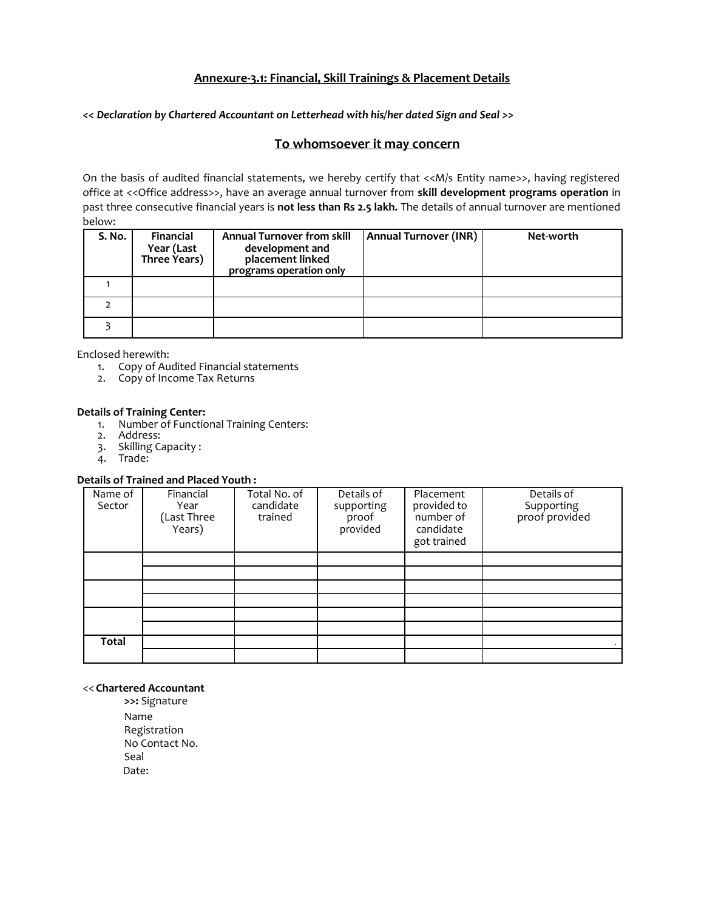## **Annexure-3.1: Financial, Skill Trainings & Placement Details**

*<< Declaration by Chartered Accountant on Letterhead with his/her dated Sign and Seal >>*

#### **To whomsoever it may concern**

On the basis of audited financial statements, we hereby certify that <<M/s Entity name>>, having registered office at <<Office address>>, have an average annual turnover from **skill development programs operation** in past three consecutive financial years is **not less than Rs 2.5 lakh.** The details of annual turnover are mentioned below:

| S. No. | Financial<br>Year (Last<br>Three Years) | <b>Annual Turnover from skill</b><br>development and<br>placement linked<br>programs operation only | <b>Annual Turnover (INR)</b> | Net-worth |
|--------|-----------------------------------------|-----------------------------------------------------------------------------------------------------|------------------------------|-----------|
|        |                                         |                                                                                                     |                              |           |
|        |                                         |                                                                                                     |                              |           |
|        |                                         |                                                                                                     |                              |           |

Enclosed herewith:

- 1. Copy of Audited Financial statements
- 2. Copy of Income Tax Returns

#### **Details of Training Center:**

- 1. Number of Functional Training Centers:
- 2. Address:
- 3. Skilling Capacity :
- 4. Trade:

#### **Details of Trained and Placed Youth :**

| Name of<br>Sector | Financial<br>Year<br>(Last Three<br>Years) | Total No. of<br>candidate<br>trained | Details of<br>supporting<br>proof<br>provided | Placement<br>provided to<br>number of<br>candidate<br>got trained | Details of<br>Supporting<br>proof provided |
|-------------------|--------------------------------------------|--------------------------------------|-----------------------------------------------|-------------------------------------------------------------------|--------------------------------------------|
|                   |                                            |                                      |                                               |                                                                   |                                            |
|                   |                                            |                                      |                                               |                                                                   |                                            |
|                   |                                            |                                      |                                               |                                                                   |                                            |
|                   |                                            |                                      |                                               |                                                                   |                                            |
|                   |                                            |                                      |                                               |                                                                   |                                            |
|                   |                                            |                                      |                                               |                                                                   |                                            |
| Total             |                                            |                                      |                                               |                                                                   |                                            |
|                   |                                            |                                      |                                               |                                                                   |                                            |

#### << **Chartered Accountant**

**>>:** Signature Name Registration No Contact No. Seal Date: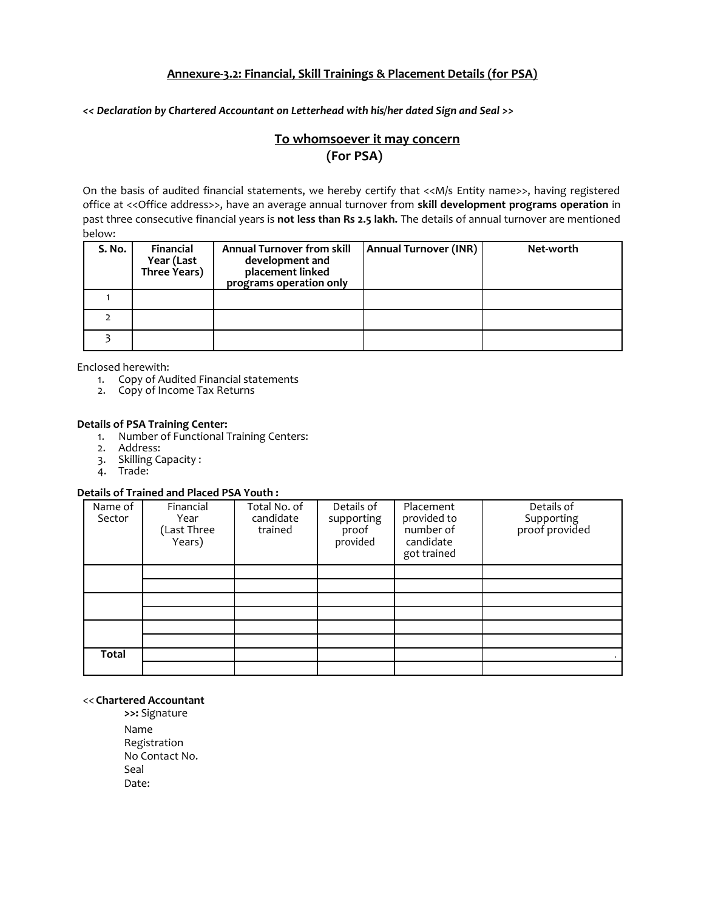## **Annexure-3.2: Financial, Skill Trainings & Placement Details (for PSA)**

*<< Declaration by Chartered Accountant on Letterhead with his/her dated Sign and Seal >>*

# **To whomsoever it may concern (For PSA)**

On the basis of audited financial statements, we hereby certify that <<M/s Entity name>>, having registered office at <<Office address>>, have an average annual turnover from **skill development programs operation** in past three consecutive financial years is **not less than Rs 2.5 lakh.** The details of annual turnover are mentioned below:

| S. No. | Financial<br>Year (Last<br>Three Years) | <b>Annual Turnover from skill</b><br>development and<br>placement linked<br>programs operation only | Annual Turnover (INR) | Net-worth |
|--------|-----------------------------------------|-----------------------------------------------------------------------------------------------------|-----------------------|-----------|
|        |                                         |                                                                                                     |                       |           |
|        |                                         |                                                                                                     |                       |           |
|        |                                         |                                                                                                     |                       |           |

Enclosed herewith:

- 1. Copy of Audited Financial statements
- 2. Copy of Income Tax Returns
- 
- **Details of PSA Training Center:** 1. Number of Functional Training Centers:
	- 2. Address:
	- 3. Skilling Capacity :
	- 4. Trade:

## **Details of Trained and Placed PSA Youth :**

| Name of<br>Sector | Financial<br>Year<br>(Last Three<br>Years) | Total No. of<br>candidate<br>trained | Details of<br>supporting<br>proof<br>provided | Placement<br>provided to<br>number of<br>candidate<br>got trained | Details of<br>Supporting<br>proof provided |
|-------------------|--------------------------------------------|--------------------------------------|-----------------------------------------------|-------------------------------------------------------------------|--------------------------------------------|
|                   |                                            |                                      |                                               |                                                                   |                                            |
|                   |                                            |                                      |                                               |                                                                   |                                            |
|                   |                                            |                                      |                                               |                                                                   |                                            |
|                   |                                            |                                      |                                               |                                                                   |                                            |
|                   |                                            |                                      |                                               |                                                                   |                                            |
|                   |                                            |                                      |                                               |                                                                   |                                            |
| Total             |                                            |                                      |                                               |                                                                   |                                            |
|                   |                                            |                                      |                                               |                                                                   |                                            |

#### << **Chartered Accountant**

**>>:** Signature Name Registration No Contact No. Seal Date: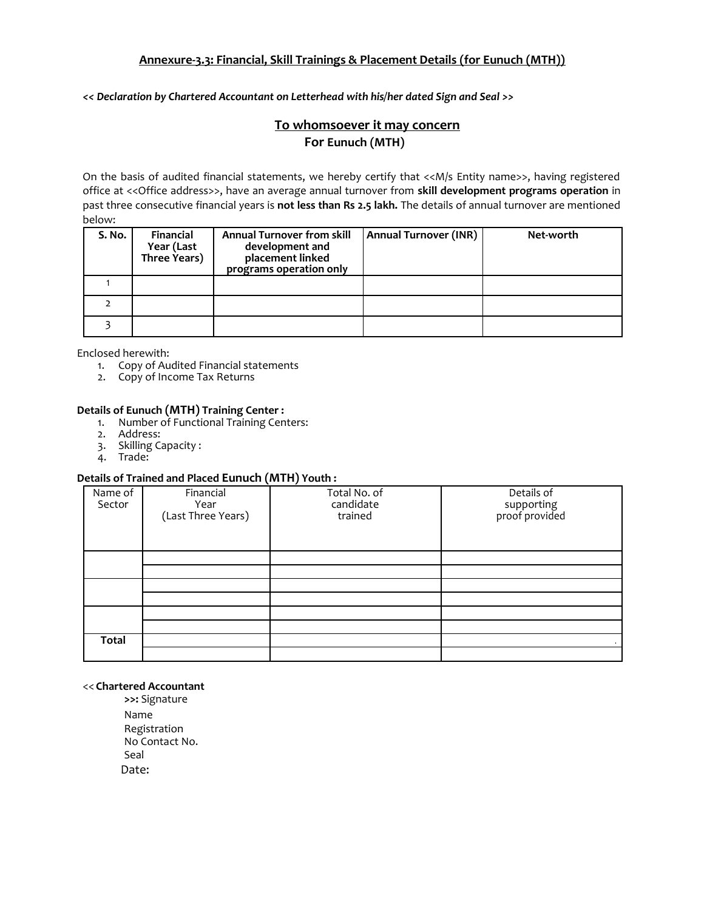# **Annexure-3.3: Financial, Skill Trainings & Placement Details (for Eunuch (MTH))**

*<< Declaration by Chartered Accountant on Letterhead with his/her dated Sign and Seal >>*

# **To whomsoever it may concern For Eunuch (MTH)**

On the basis of audited financial statements, we hereby certify that <<M/s Entity name>>, having registered office at <<Office address>>, have an average annual turnover from **skill development programs operation** in past three consecutive financial years is **not less than Rs 2.5 lakh.** The details of annual turnover are mentioned below:

| S. No. | Financial<br>Year (Last<br>Three Years) | <b>Annual Turnover from skill</b><br>development and<br>placement linked<br>programs operation only | <b>Annual Turnover (INR)</b> | Net-worth |
|--------|-----------------------------------------|-----------------------------------------------------------------------------------------------------|------------------------------|-----------|
|        |                                         |                                                                                                     |                              |           |
|        |                                         |                                                                                                     |                              |           |
|        |                                         |                                                                                                     |                              |           |

Enclosed herewith:

- 1. Copy of Audited Financial statements
- 2. Copy of Income Tax Returns

#### **Details of Eunuch (MTH) Training Center :**

- 1. Number of Functional Training Centers:
- 2. Address:
- 3. Skilling Capacity :
- 4. Trade:

## **Details of Trained and Placed Eunuch (MTH) Youth :**

| Name of<br>Sector | Financial<br>Year<br>(Last Three Years) | $\overline{\phantom{a}}$<br>Total No. of<br>candidate<br>trained | Details of<br>supporting<br>proof provided |
|-------------------|-----------------------------------------|------------------------------------------------------------------|--------------------------------------------|
|                   |                                         |                                                                  |                                            |
|                   |                                         |                                                                  |                                            |
|                   |                                         |                                                                  |                                            |
|                   |                                         |                                                                  |                                            |
|                   |                                         |                                                                  |                                            |
|                   |                                         |                                                                  |                                            |
| <b>Total</b>      |                                         |                                                                  |                                            |
|                   |                                         |                                                                  |                                            |

#### << **Chartered Accountant**

**>>:** Signature Name Registration No Contact No. Seal Date: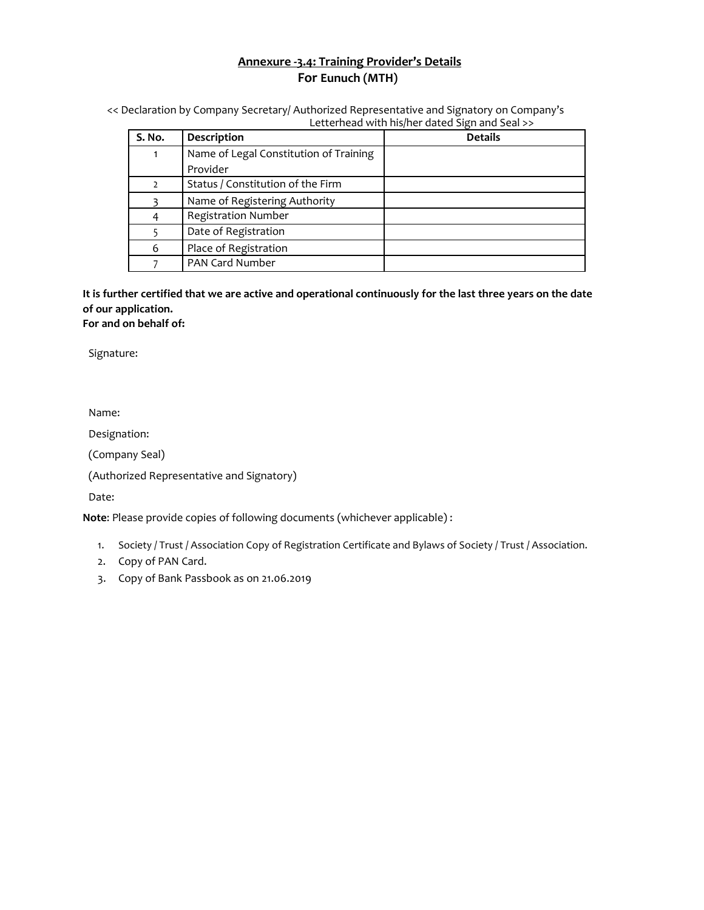# **Annexure -3.4: Training Provider's Details For Eunuch (MTH)**

<< Declaration by Company Secretary/ Authorized Representative and Signatory on Company's Letterhead with his/her dated Sign and Seal >>

| S. No. | Description                            | <b>Details</b> |
|--------|----------------------------------------|----------------|
|        | Name of Legal Constitution of Training |                |
|        | Provider                               |                |
|        | Status / Constitution of the Firm      |                |
|        | Name of Registering Authority          |                |
| 4      | <b>Registration Number</b>             |                |
|        | Date of Registration                   |                |
| 6      | Place of Registration                  |                |
|        | <b>PAN Card Number</b>                 |                |

**It is further certified that we are active and operational continuously for the last three years on the date of our application. For and on behalf of:**

Signature:

Name:

Designation:

(Company Seal)

(Authorized Representative and Signatory)

Date:

**Note**: Please provide copies of following documents (whichever applicable) :

- 1. Society / Trust / Association Copy of Registration Certificate and Bylaws of Society / Trust / Association.
- 2. Copy of PAN Card.
- 3. Copy of Bank Passbook as on 21.06.2019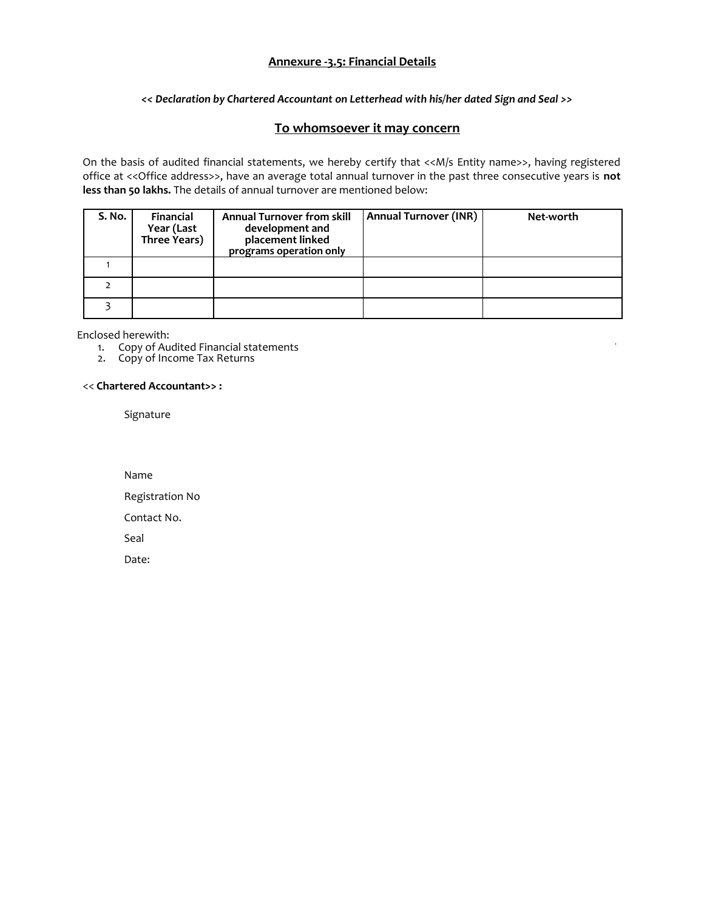## **Annexure -3.5: Financial Details**

#### *<< Declaration by Chartered Accountant on Letterhead with his/her dated Sign and Seal >>*

## **To whomsoever it may concern**

On the basis of audited financial statements, we hereby certify that <<M/s Entity name>>, having registered office at <<Office address>>, have an average total annual turnover in the past three consecutive years is **not less than 50 lakhs.** The details of annual turnover are mentioned below:

| S. No. | <b>Financial</b><br>Year (Last<br>Three Years) | <b>Annual Turnover from skill</b><br>development and<br>placement linked<br>programs operation only | <b>Annual Turnover (INR)</b> | Net-worth |
|--------|------------------------------------------------|-----------------------------------------------------------------------------------------------------|------------------------------|-----------|
|        |                                                |                                                                                                     |                              |           |
|        |                                                |                                                                                                     |                              |           |
|        |                                                |                                                                                                     |                              |           |

Enclosed herewith:

1. Copy of Audited Financial statements

2. Copy of Income Tax Returns

#### << **Chartered Accountant>> :**

Signature

Name

Registration No

Contact No.

Seal

Date: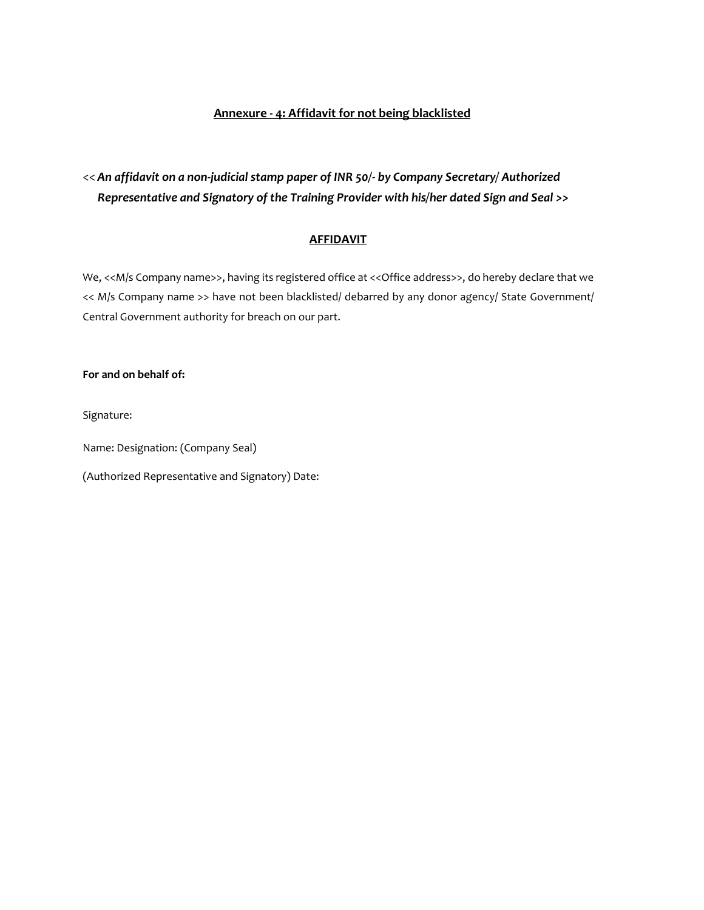#### **Annexure - 4: Affidavit for not being blacklisted**

# << *An affidavit on a non-judicial stamp paper of INR 50/- by Company Secretary/ Authorized Representative and Signatory of the Training Provider with his/her dated Sign and Seal >>*

## **AFFIDAVIT**

We, << M/s Company name>>, having its registered office at << Office address>>, do hereby declare that we << M/s Company name >> have not been blacklisted/ debarred by any donor agency/ State Government/ Central Government authority for breach on our part.

#### **For and on behalf of:**

Signature:

Name: Designation: (Company Seal)

(Authorized Representative and Signatory) Date: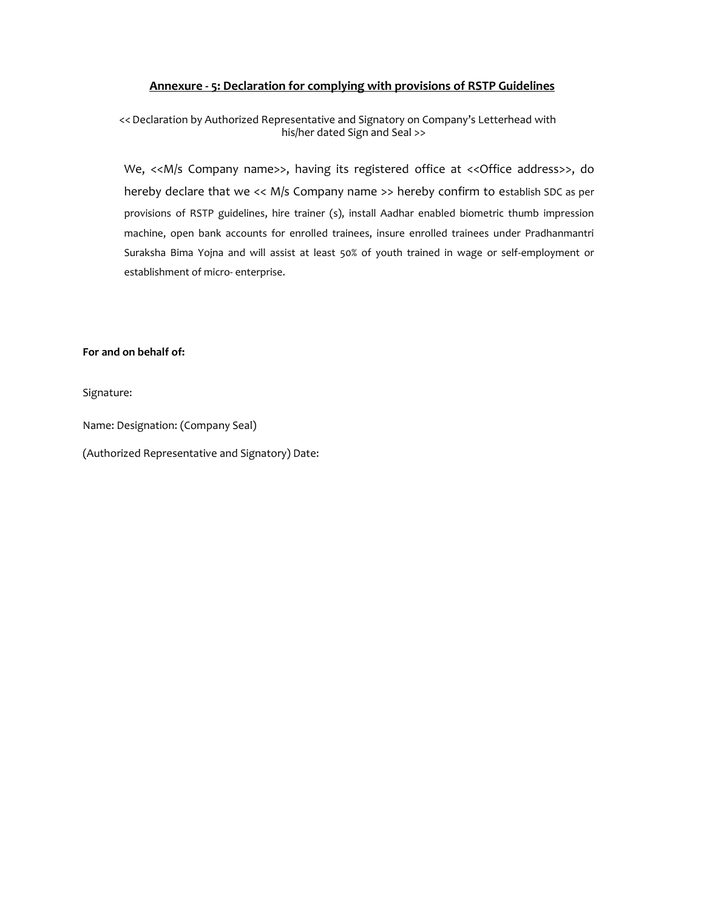#### **Annexure - 5: Declaration for complying with provisions of RSTP Guidelines**

<<Declaration by Authorized Representative and Signatory on Company's Letterhead with his/her dated Sign and Seal >>

We, <<M/s Company name>>, having its registered office at << Office address>>, do hereby declare that we << M/s Company name >> hereby confirm to establish SDC as per provisions of RSTP guidelines, hire trainer (s), install Aadhar enabled biometric thumb impression machine, open bank accounts for enrolled trainees, insure enrolled trainees under Pradhanmantri Suraksha Bima Yojna and will assist at least 50% of youth trained in wage or self-employment or establishment of micro- enterprise.

#### **For and on behalf of:**

Signature:

Name: Designation: (Company Seal)

(Authorized Representative and Signatory) Date: